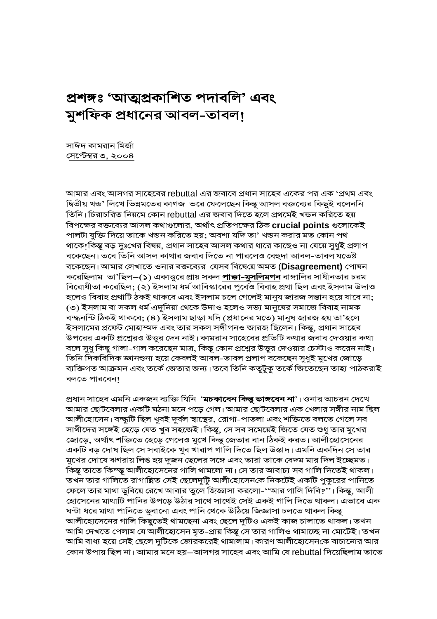# প্ৰশঙ্গঃ 'আত্মপ্ৰকাশিত পদাবলি' এবং মুশফিক প্রধানের আবল-তাবল!

সাঈদ কামরান মির্জা <u>সেপ্টেম্বর ৩, ২০০৪</u>

আমার এবং আসগর সাহেবের rebuttal এর জবাবে প্রধান সাহেব একের পর এক 'প্রথম এবং দ্বিতীয় খন্ড' লিখে ভিন্নমতের কাগজ ভরে ফেলেছেন কিন্তু আসল বক্তব্যের কিছুই বলেননি তিনি। চিরাচরিত নিয়মে কোন rebuttal এর জবাব দিতে হলে প্রথমেই খন্ডন করিতে হয় বিপক্ষের বক্তব্যের আসল কথাগুলোর, অর্থাৎ প্রতিপক্ষের ঠিক crucial points গুলোকেই পালটা যুক্তি দিয়ে তাকে খন্ডন করিতে হয়; অবশ্য যদি তা' খন্ডন করার মত কোন পথ থাকে!কিন্তূ বড় দুঃখের বিষয়, প্রধান সাহেব আসল কথার ধারে কাছেও না যেয়ে সুধুই প্রলাপ বকেছেন। তবে তিনি আসল কাথার জবাব দিতে না পারলেও বেহুদা আবল-তাবল যতেষ্ট বকেছেন। আমার লেখাতে ওনার বক্তব্যের যেসব বিষেয়ে অমত (Disagreement) পোষন করেছিলাম তা'ছিল–(১) একাত্তুরে প্রায় সকল **পাক্কা-মুসলিমগন** বাঙ্গালির সাধীনতার চরম বিরোধীতা করেছিল; (২) ইসলাম ধর্ম আবিস্কারের পুর্বেও বিবাহ প্রথা ছিল এবং ইসলাম উদাও হলেও বিবাহ প্রথাটি ঠকই থাকবে এবং ইসলাম চলে গেলেই মানুষ জারজ সন্তান হয়ে যাবে না; ৩) ইসলাম বা সকল ধর্ম এদুনিয়া থেকে উদাও হলেও সভ্য মানুষের সমাজে বিবাহ নামক বন্দ্ধনন্টি ঠিকই থাকবে; (৪) ইসলাম ছাড়া যদি (প্রধানের মতে) মানুষ জারজ হয় তা'হলে ইসলামের প্রফেট মোহাম্মদ এবং তার সকল সঙ্গীগনও জারজ ছিলেন। কিন্তু, প্রধান সাহেব উপরের একটি প্রশ্নেরও উত্তুর দেন নাই। কামরান সাহেবের প্রতিটি কথার জবাব দেওয়ার কথা বলে সুধু কিছু গালা-গাল করেছেন মাত্র, কিন্তু কোন প্রশ্নের উত্তুর দেওয়ার চেস্টাও করেন নাই। তিনি দিকবিদিক জ্ঞানশুন্য হয়ে কেবলই আবল-তাবল প্রলাপ বকেছেন সুধুই মুখের জোড়ে ব্যক্তিগত আক্রমন এবং তর্কে জেতার জন্য। তবে তিনি কতুটুকু তর্কে জিতেছেন তাহা পাঠকরাই বলতে পারবেন!

প্রধান সাহেব এমনি একজন ব্যক্তি যিনি '**মচকাবেন কিন্তু ভাঙ্গবেন না**'। ওনার আচরন দেখে আমার ছোটবেলার একটি ঘঠনা মনে পড়ে গেল। আমার ছোটবেলার এক খেলার সঙ্গীর নাম ছিল আলীহোসেন। বন্দ্ধুটি ছিল খুবই দুৰ্বল স্বাস্থের, রোগা-পাতলা এবং শক্তিতে বলতে গেলে সব সাথীদের সঙ্গেই হেড়ে যেত খুব সহজেই। কিন্তু, সে সব সমেয়েই জিতে যেত শুধু তার মুখের জোড়ে, অর্থাৎ শক্তিতে হেড়ে গেলেও মুখে কিন্তূ জেতার বান ঠিকই করত। আলীহোসেনের একটি বড় দোষ ছিল সে সবাইকে খুব খারাপ গালি দিতে ছিল উস্তাদ। এমনি একদিন সে তার মুখের দোষে ঝগরায় লিপ্ত হয় দুজন ছেলের সঙ্গে এবং তারা তাকে বেদম মার দিল ইচ্ছেমত। কিন্তূ তাতে কিম্ন্তূ আলীহোসেনের গালি থামলো না। সে তার আবাচ্য সব গালি দিতেই থাকল। তখন তার গালিতে রাগান্নিত সেই ছেলেদুটুি আলীহোসেনকে নিকটেই একটি পুকুরের পানিতে ফেলে তার মাথা ডুবিয়ে রেখে আবার তুলে জিজ্ঞাসা করলো-''আর গালি দিবি?''। কিন্তূ, আলী হোসেনের মাথাটি পানির উপড়ে উঠার সাথে সাথেই সেই একই গালি দিতে থাকল। এভাবে এক ঘন্টা ধরে মাথা পানিতে ডুবানো এবং পানি থেকে উঠিয়ে জিজ্ঞাসা চলতে থাকল কিন্তূ আলীহোসেনের গালি কিছুতেই থামছেনা এবং ছেলে দুটিও একই কাজ চালাতে থাকল। তখন আমি দেখতে পেলাম যে আলীহোসেন মৃত-প্রায় কিন্তু সে তার গালিও থামাচ্ছে না মোটেই। তখন আমি বাধ্য হয়ে সেই ছেলে দুটিকে জোরকরেই থামালাম। কারণ আলীহোসেনকে বাচানোর আর কোন উপায় ছিল না। আমার মনে হয়—আসগর সাহেব এবং আমি যে rebuttal দিয়েছিলাম তাতে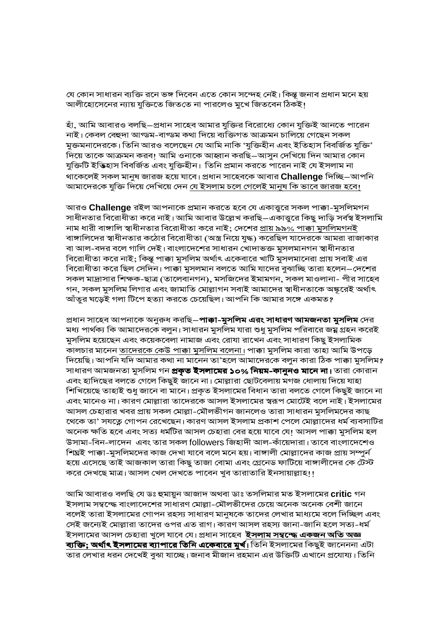যে কোন সাধারন ব্যক্তি রনে ভঙ্গ দিবেন এতে কোন সন্দেহ নেই। কিন্তু জনাব প্রধান মনে হয় আলীহোসেনের ন্যায় যুক্তিতে জিততে না পারলেও মুখে জিতবেন ঠিকই।

হাঁ, আমি আবারও বলছি–প্রধান সাহেব আমার যুক্তির বিরোধ্যে কোন যুক্তিই আনতে পারেন নাই। কেবল বেহুদা আগ্ডম-বাগ্ডম কথা দিয়ে ব্যক্তিগত আক্ৰমন চালিয়ে গেছেন সকল মুক্তমনাদেরকে। তিনি আরও বলেছেন যে আমি নাকি 'যুক্তিহীন এবং ইতিহাস বিবর্জিত যুক্তি' দিয়ে তাকে আক্রমন করব! আমি ওনাকে আহ্বান করছি—আসুন দেখিয়ে দিন আমার কোন যুক্তিটি ইত্তিহাস বিবৰ্জিত এবং যুক্তিহীন। তিনি প্ৰমান করতে পারেন নাই যে ইসলাম না থাকেলেই সকল মানুষ জারজ হয়ে যাবে। প্রধান সাহেবকে আবার Challenge দিচ্ছি–আপনি আমাদেরকে যুক্তি দিয়ে দেখিয়ে দেন <u>যে ইসলাম চলে গেলেই মানূষ কি ভাবে জারজ হবে।</u>

আরও Challenge রইল আপনাকে প্রমান করতে হবে যে একাত্তুরে সকল পাক্কা-মুসলিমগন সাধীনতার বিরোধীতা করে নাই। আমি আবার উল্লেখ করছি–একাত্তুরে কিছু দাড়ি সর্বস্ব ইসলামি নাম ধারী বাঙ্গালি স্বাধীনতার বিরোধীতা করে নাই; দেশের প্রায় ৯৯% পাক্কা মুসলিমগনই বাঙ্গালিদের স্বাধীনতার কঠোর বিরোধীতা (অস্ত্র নিয়ে যুদ্ধ) করেছিল যাদেরকে আমরা রাজাকার বা আল-বদর বলে গালি দেই। বাংলাদেশের সাধারন খোদাভক্ত মুসলমানগন স্বাধীনতার বিরোধীতা করে নাই; কিন্তু পাক্কা মুসলিম অর্থাৎ একেবারে খাটি মুসলমানেরা প্রায় সবাই এর বিরোধীতা করে ছিল সেদিন। পাক্কা মুসলমান বলতে আমি যাদের বুঝাচ্ছি তারা হলেন—দেশের সকল মাদ্রাসার শিক্ষক-ছাত্র (তালেবানগন), মসজিদের ইমামগন, সকল মাওলানা- পীর সাহেব গন, সকল মুসলিম লিগার এবং জামাতি মোল্লাগন সবাই আমাদের স্বাধীনতাকে অঙ্কুরেই অর্থাৎ আঁতুর ঘড়েই গলা টিপে হত্যা করতে চেয়েছিল। আপনি কি আমার সঙ্গে একমত?

প্ৰধান সাহেব আপনাকে অনুরুধ করছি**–পাক্কা-মুসলিম এরং সাধারণ আমজনতা মুসলিম** দের মধ্য পার্থক্য কি আমাদেরকে বলুন। সাধারন মুসলিম যারা শুধু মুসলিম পরিবারে জম্ন গ্রহন করেই মুসলিম হয়েছেন এবং কয়েকবেলা নামাজ এবং রোযা রাখেন এবং সাধারণ কিছু ইসলামিক কালচার মানেন <u>তাদেরকে কেউ পাক্কা মুসলিম বলেনা।</u> পাক্কা মুসলিম কারা তাহা আমি উপড়ে দিয়েছি। আপনি যদি আমার কথা না মানেন তা'হলে আমাদেরকে বলুন কারা ঠিক পাক্কা মুসলিম? সাধারণ আমজনতা মুসলিম গন **প্রকৃত ইসলামের ১০% নিয়ম-কানুনও মানে না।** তারা কোরান এবং হাদিছের বলতে গেলে কিছুই জানে না। মোল্লারা ছোটবেলায় মগজ ধোলায় দিয়ে যাহা শিখিয়েছে তাহাই শুধু জানে বা মানে। প্রকৃত ইসলামের বিধান তারা বলতে গেলে কিছুই জানে না এবং মানেও না। কারণ মোল্লারা তাদেরকে আসল ইসলামের স্বরূপ মোটেই বলে নাই। ইসলামের আসল চেহারার খবর প্রায় সকল মোল্লা-মৌলভীগন জানলেও তারা সাধারন মুসলিমদের কাছ থেকে তা' সযত্নে গোপন রেখেছেন। কারণ আসল ইসলাম প্রকাশ পেলে মোল্লাদের ধর্ম ব্যবসাটির অনেক ক্ষতি হবে এবং সত্য ধর্মটির আসল চেহারা বের হয়ে যাবে যে! আসল পাক্কা মুসলিম হল উসামা-বিন-লাদেন এবং তার সকল followers জিহাদী আল-কাঁয়েদারা। তাবে বাংলাদেশেও শিঘ্রই পাক্কা-মুসলিমদের কাজ দেখা যাবে বলে মনে হয়। বাঙ্গালী মোল্লাদের কাজ প্রায় সম্পুর্ন হয়ে এসেছে তাই আজকাল তারা কিছু তাজা বোমা এবং গ্রেনেড ফাটিয়ে বাঙ্গালীদের কে টেস্ট করে দেখছে মাত্র। আসল খেল দেখতে পাবেন খুব তারাতারি ইনসায়াল্লাহ!!

আমি আবারও বলছি যে ডঃ হুমায়ুন আজাদ অথবা ডাঃ তসলিমার মত ইসলামের critic গন ইসলাম সম্বন্দ্ধে বাংলাদেশের সাধারণ মোল্লা-মৌলভীদের চেয়ে অনেক অনেক বেশী জানে বলেই তারা ইসলামের গোপন রহস্য সাধারণ মানুষকে তাদের লেখার মাধ্যমে বলে দিচ্ছিল এবং সেই জন্যেই মোল্লারা তাদের ওপর এত রাগ। কারণ আসল রহস্য জানা-জানি হলে সত্য-ধর্ম ইসলামের আসল চেহারা খুলে যাবে যে। প্রধান সাহেব<sup>্</sup>**ইসলাম সম্বন্দ্ধে একজন অতি অজ্ঞ** <mark>ব্যক্তি; অর্থাৎ ইসলামের ব্যাপারে তিনি একেবারে মুর্খ।</mark> তিনি ইসলামের কিছুই জানেননা এটা তার লেখার ধরন দেখেই বুঝা যাচ্ছে। জনাব মীজান রহমান এর উক্তিটি এখানে প্রযোয্য। তিনি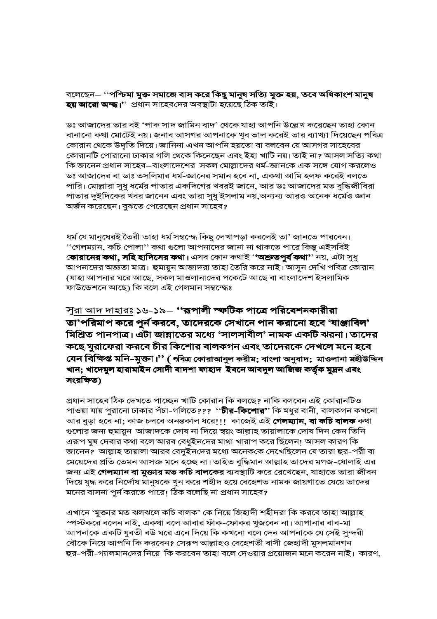বলেছেন $\scriptstyle{-}$  ''পশ্চিমা মুক্ত সমাজে বাস করে কিছু মানুষ সত্যি মুক্ত হয়, তবে অধিকাংশ মানুষ **হয় আরো অম্দ্ধ।'**' প্রধান সাহেবদের অবস্থাটা হয়েছে ঠিক তাই।

ডঃ আজাদের তার বই 'পাক সাদ জামিন বাদ' থেকে যাহা আপনি উল্লেখ করেছেন তাহা কোন বানানো কথা মোটেই নয়। জনাব আসগর আপনাকে খুব ভাল করেই তার ব্যাখ্যা দিয়েছেন পবিত্র কোরান থেকে উদৃতি দিয়ে। জানিনা এখন আপনি হয়তো বা বলবেন যে আসগর সাহেবের কোরানটি পোরানো ঢাকার গলি থেকে কিনেছেন এবং ইহা খাটি নয়। তাই না? আসল সত্যি কথা কি জানেন প্রধান সাহেব—বাংলাদেশের সকল মোল্লাদের ধর্ম–জ্ঞানকে এক সঙ্গে যোগ করলেও ডঃ আজাদের বা ডাঃ তসলিমার ধর্ম-জ্ঞানের সমান হবে না, একথা আমি হলফ করেই বলতে পারি। মোল্লারা সুধু ধর্মের পাতার একদিগের খবরই জানে, আর ডঃ আজাদের মত বুদ্ধিজীবিরা পাতার দুইদিকের খবর জানেন এবং তারা সুধু ইসলাম নয়,অন্যন্য আরও অনেক ধর্মেও জ্ঞান অৰ্জন করেছেন। বুঝতে পেরেছেন প্রধান সাহেব?

ধৰ্ম যে মানুষেরই তৈরী তাহা ধৰ্ম সম্বন্দ্ধে কিছু লেখাপড়া করলেই তা' জানতে পারবেন। ''গেলম্যান, কচি পোলা'' কথা গুলো আপনাদের জানা না থাকতে পারে কিন্তু এইসবিই **কোরানের কথা, সহি হাদিসের কথা।** এসব কোন কথাই '**'অশ্রুতপুর্ব কথা'**' নয়, এটা সুধু আপনাদের অজ্ঞতা মাত্র। হুমায়ুন আজাদরা তাহা তৈরি করে নাই।আসুন দেখি পবিত্র কোরান (যাহা আপনার ঘরে আছে, সকল মাওলানাদের পকেটে আছে বা বাংলাদেশ ইসলামিক ফাউন্ডেশনে আছে) কি বলে এই গেলমান সম্বন্দ্ধেঃ

সু<u>রা আদ দাহারঃ</u> ১৬-১৯– ''**রূপালী স্ফটিক পাত্রে পরিবেশনকারীরা** তা'পরিমাপ করে পুর্ন করবে, তাদেরকে সেখানে পান করানো হবে 'যাঞ্জাবিল' মিশ্রিত পানপাত্র। এটা জান্নাতের মধ্যে 'সালসাবীল' নামক একটি ঝরনা। তাদের কছে ঘুরাফেরা করবে চীর কিশোর বালকগন এবং তাদেরকে দেখলে মনে হবে যেন বিক্ষিপ্ত মনি-মুক্তা।'' (*প*বিত্র কোরাআনুল করীম; বাংলা অনুবাদ; মাওলানা মহীউদ্দিন খান; খাদেমুল হারামাইন সোদী বাদশা ফাহাদ ইবনে আবদুল আজিজ কর্তৃক মুদ্রন এবং সংরক্ষিত)

প্রধান সাহেব ঠিক দেখতে পাচ্ছেন খাটি কোরান কি বলছে? নাকি বলবেন এই কোরানটিও পাওয়া যায় পুরানো ঢাকার পঁচা-গলিতে??? ''**চীর-কিশোর'**' কি মধুর বানী, বালকগন কখনো আর বুড়া হবে না; কাজ চলবে অনন্তকাল ধরে!!! কাজেই এই **গেলম্যান, বা কচি বালক** কথা গুলোর জন্য হুমায়ুন আজাদকে দোষ না দিয়ে স্বয়ং আল্লাহ তায়ালাকে দোষ দিন কেন তিনি এরূপ ঘুষ দেবার কথা বলে আরব বেধুইনদের মাথা খারাপ করে ছিলেন! আসল কারণ কি জানেন? আল্লাহ তায়ালা আরব বেদুইনদের মধ্যে অনেককে দেখেছিলেন যে তারা হুর-পরী বা মেয়েদের প্রতি তেমন আসক্ত মনে হচ্ছে না। তাইত বুদ্ধিমান আল্লাহ তাদের মগজ-ধোলাই এর জন্য এই **গেলম্যান বা মুক্তার মত কচি বালকের** ব্যবস্থাটি করে রেখেছেন, যাহাতে তারা জীবন দিয়ে যুদ্ধ করে নির্দোষ মানুষকে খুন করে শহীদ হয়ে বেহেশত নামক জায়গাতে যেয়ে তাদের মনের বাসনা পুর্ন করতে পারে! ঠিক বলেছি না প্রধান সাহেব?

এখানে 'মুক্তার মত ঝলঝলে কচি বালক' কে নিয়ে জিহাদী শহীদরা কি করবে তাহা আল্লাহ স্পস্টকরে বলেন নাই, একথা বলে আবার ফাঁক-ফোকর খুজবেন না। আপানার বাব-মা আপনাকে একটি যুবতী বউ ঘরে এনে দিয়ে কি কখনো বলে দেন আপনাকে যে সেই সুন্দরী বৌকে নিয়ে আপনি কি করবেন? সেরূপ আল্লাহও বেহেশতী বাসী জেহাদী মুসলমানগন হুর-পরী-গ্যালমানদের নিয়ে কি করবেন তাহা বলে দেওয়ার প্রয়োজন মনে করেন নাই। কারণ,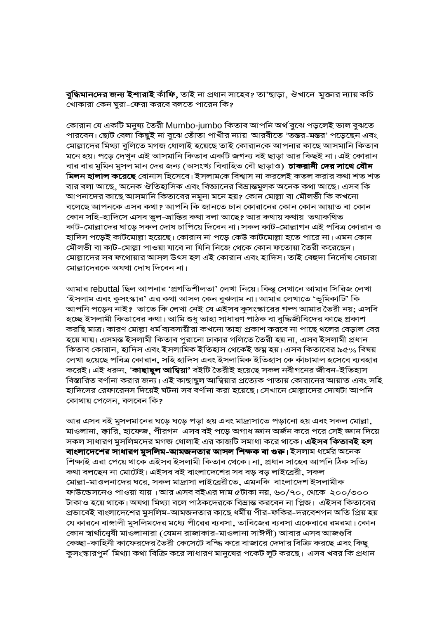**বুদ্ধিমানদের জন্য ইশারাই** কাঁ**ফি,** তাই না প্রধান সাহেব? তা'ছাড়া, ঔখানে মুক্তার ন্যায় কচি খোকারা কেন ঘুরা-ফেরা করবে বলতে পারেন কি?

কোরান যে একটি মনুষ্য তৈরী Mumbo-jumbo কিতাব আপনি অর্থ বুঝে পড়লেই ভাল বুঝতে পারবেন। ছোট বেলা কিছুই না বুঝে তোঁতা পাখীর ন্যায় আরবীতে 'তন্তর-মন্তর' পড়েছেন এবং মোল্লাদের মিথ্যা বুলিতে মগজ ধোলাই হয়েছে তাই কোরানকে আপনার কাছে আসমানি কিতাব মনে হয়। পড়ে দেখুন এই আসমানি কিতাব একটি জগন্য বই ছাড়া আর কিছই না। এই কোরান বার বার মুমিন মুসল মান দের জন্য (অসংখ্য বিবাহিত বৌ ছাড়াও) **চাকরানী দের সাথে যৌন মিলন হালাল করেছে** বোনাস হিসেবে। ইসলামকে বিশ্বাস না করলেই কতল করার কথা শত শত বার বলা আছে, অনেক ঔতিহাসিক এবং বিজ্ঞানের বিভ্রান্তমুলক অনেক কথা আছে। এসব কি আপনাদের কাছে আসমানি কিতাবের নমুনা মনে হয়? কোন মোল্লা বা মৌলভী কি কখনো বলেছে আপনকে এসব কথা? আপনি কি জানতে চান কোরানের কোন কোন আয়াত বা কোন কোন সহি-হাদিসে এসব ভুল-ভ্রান্তির কথা বলা আছে? আর কথায় কথায় তথাকথিত কাট-মোল্লাদের ঘাড়ে সকল দোষ চাপিয়ে দিবেন না। সকল কাট-মোল্লাগন এই পবিত্র কোরান ও হাদিস পড়েই কাটমোল্লা হয়েছে। কোরান না পড়ে কেউ কাটমোল্লা হতে পারে না। এমন কোন মৌলভী বা কাট-মোল্লা পাওয়া যাবে না যিনি নিজে থেকে কোন ফতোয়া তৈরী করেছেন। মোল্লাদের সব ফথোয়ার আসল উৎস হল এই কোরান এবং হাদিস। তাই বেহুদা নির্দোষ বেচারা মোল্লাদেরকে অযথা দোষ দিবেন না।

আমার rebuttal ছিল আপনার 'প্রগতিশীলতা' লেখা নিয়ে। কিন্তু সেখানে আমার সিরিজ লেখা 'ইসলাম এবং কুসংস্কার' এর কথা আসল কেন বুঝলাম না। আমার লেখাতে 'ভুমিকাটি' কি আপনি পড়েন নাই? তাতে কি লেখা নেই যে এইসব কুসংস্কারের গল্প আমার তৈরী নয়; এসবি হচ্ছে ইসলামী কিতাবের কথা। আমি শুধু তাহা সাধারণ পাঠক বা বুদ্ধিজীবিদের কাছে প্রকাশ করছি মাত্র। কারণ মোল্লা ধর্ম ব্যবসায়ীরা কখনো তাহা প্রকাশ করবে না পাছে থলের বেড়াল বের হয়ে যায়। এসমস্ত ইসলামী কিতাব পুরানো ঢাকার গলিতে তৈরী হয় না, এসব ইসলামী প্রধান কিতাব কোরান, হাদিস এবং ইসলামিক ইতিহাস থেকেই জম্ন হয়। এসব কিতাবের ৯৫% বিষয় লেখা হয়েছে পবিত্ৰ কোৱান, সহি হাদিস এবং ইসলামিক ইতিহাস কে কাঁচামাল হসেবে ব্যবহার করেই। এই ধরুন, '**কাছাছুল আম্বিয়া'** বইটি তৈরীই হয়েছে সকল নবীগনের জীবন-ইতিহাস বিস্তারিত বর্ণানা করার জন্য। এই কাছাছুল আম্বিয়ার প্রত্যেক পাতায় কোরানের আয়াত এবং সহি হাদিসের রেফারেনস দিয়েই ঘটনা সব বর্ণানা করা হয়েছে। সেখানে মোল্লাদের দোষটা আপনি কোথায় পেলেন, বলবেন কি?

আর এসব বই মুসলমানের ঘড়ে ঘড়ে পড়া হয় এবং মাদ্রাসাতে পড়ানো হয় এবং সকল মোল্লা, মাওলানা, ক্কারি, হাফেজ, পীরগন এসব বই পড়ে অগাধ জ্ঞান অর্জন করে পরে সেই জ্ঞান দিয়ে সকল সাধারণ মুসলিমদের মগজ ধোলাই এর কাজটি সমাধা করে থাকে। **এইসব কিতাবই হল বাংলাদেশের সাধারণ মুসলিম-আমজনতার আসল শিক্ষক বা গুরু।** ইসলাম ধর্মের অনেক শিক্ষাই এরা পেয়ে থাকে এইসব ইসলামী কিতাব থেকে। না, প্রধান সাহেব আপনি ঠিক সত্যি কথা বলছেন না মোটেই। এইসব বই বাংলাদেশের সব বড় বড় লাইব্রেরী, সকল মোল্লা-মাওলনাদের ঘরে, সকল মাদ্রাসা লাইব্রেরীতে, এমনকি বাংলাদেশ ইসলামীক ফাউন্ডেসনেও পাওয়া যায়। আর এসব বইএর দাম ৫টাকা নয়, ৬০/৭০, থেকে ২০০/৩০০ টাকাও হয়ে থাকে। অযথা মিথ্যা বলে পাঠকদেরকে বিভ্রান্ত করবেন না প্লিজ। এইসব কিতাবের প্রভাবেই বাংলাদেশের মুসলিম-আমজনতার কাছে ধর্মীয় পীর-ফকির-দরবেশগন অতি প্রিয় হয় যে কারনে বাঙ্গালী মুসলিমদের মধ্যে পীরের ব্যবসা, তাবিজের ব্যবসা একেবারে রমরমা। কোন কোন স্বার্থানেৃষী মাওলানারা (যেমন রাজাকার-মাওলানা সাঈদী) আবার এসব আজগুবি কেচ্ছা-কাহিনী কাফেরদের তৈরী কেসেটে বস্ধি করে বাজারে দেদার বিক্রি করছে এবং কিছু কুসংস্কারপুর্ন মিথ্যা কথা বিক্রি করে সাধারণ মানুষের পকেট লুট করছে। এসব খবর কি প্রধান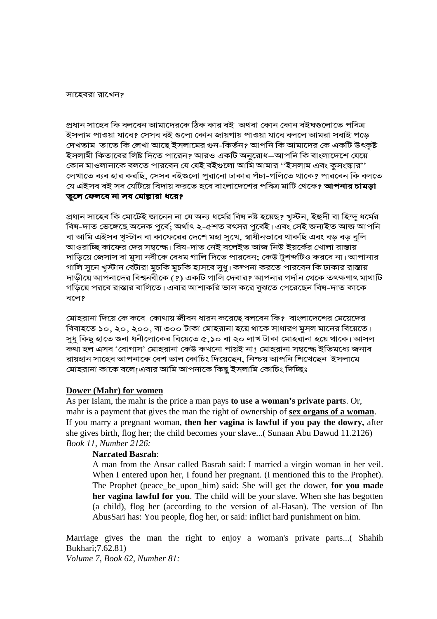সাহেবরা রাখেন?

প্ৰধান সাহেব কি বলবেন আমাদেরকে ঠিক কার বই অথবা কোন কোন বইঘণ্ডলোতে পবিত্র ইসলাম পাওয়া যাবে? সেসব বই গুলো কোন জায়গায় পাওয়া যাবে বললে আমরা সবাই পড়ে দেখতাম তাতে কি লেখা আছে ইসলামের গুন-কির্তন? আপনি কি আমাদের কে একটি উৎকষ্ট ইসলামী কিতাবের লিষ্ট দিতে পারেন? আরও একটি অনুরোধ–আপনি কি বাংলাদেশে যেয়ে কোন মাওলানাকে বলতে পারবেন যে যেই বইগুলো আমি আমার ''ইসলাম এবং কুসংস্কার'' লেখাতে ব্যব হার করছি, সেসব বইগুলো পুরানো ঢাকার পঁচা-গলিতে থাকে? পারবেন কি বলতে যে এইসব বই সব যেটিয়ে বিদায় করতে হবে বাংলাদেশের পবিত্র মাটি থেকে**? আপনার চামড়া** 

## তুলে ফেলবে না সব মোল্লারা ধরে?

প্ৰধান সাহেব কি মোটেই জানেন না যে অন্য ধৰ্মের বিষ নষ্ট হয়েছ? খস্টন, ইহুদী বা হিন্দ ধৰ্মের বিষ-দাত ভেঙ্গেছে অনেক পৰ্বে: অৰ্থাৎ ২-৫শত বৎসর পূৰ্বেই। এবং সেই জন্যইত আজ আপনি বা আমি এইসব খুস্টান বা কাফেরের দেশে মহা সুখে, স্বাধীনভাবে থাকছি এবং বড় বড় বুলি আওরাচ্ছি কাফের দের সম্বন্দ্ধে। বিষ-দাত নেই বলেইত আজ নিউ ইয়র্কের খোলা রাস্তায় দাডিয়ে জেসাস বা মসা নবীকে বেধম গালি দিতে পারবেন: কেউ টুশব্দটিও করবে না। আপানার গালি সুনে খুস্টান বেটারা মুচকি মুচকি হাসবে সুধু। কল্পনা করতে পারবেন কি ঢাকার রাস্তায় দাড়ীয়ে আপনাদের বিশ্বনবীকে (?) একটি গালি দেবার? আপনার গর্দান থেকে তৎক্ষণাৎ মাথাটি গড়িয়ে পরবে রাস্তার বালিতে। এবার আশাকরি ভাল করে বুঝতে পেরেছেন বিষ-দাত কাকে বলে?

মোহরানা দিয়ে কে কবে কোথায় জীবন ধারন করেছে বলবেন কি? বাংলাদেশের মেয়েদের বিবাহতে ১০, ২০, ২০০, বা ৩০০ টাকা মোহরানা হয়ে থাকে সাধারণ মসল মানের বিয়েতে। সুধু কিছু হাতে গুনা ধনীলোকের বিয়েতে ৫.১০ বা ২০ লাখ টাকা মোহরানা হয়ে থাকে। আসল কথা হল এসব 'বোগাস' মোহরানা কেউ কখনো পায়ই না। মোহরানা সম্বন্দ্ধে ইতিমধ্যে জনাব রায়হান সাহেব আপনাকে বেশ ভাল কোচিং দিয়েছেন, নিশ্চয় আপনি শিখেছেন ইসলামে মোহরানা কাকে বলে।এবার আমি আপনাকে কিছ ইসলামি কোচিং দিচ্ছিঃ

## Dower (Mahr) for women

As per Islam, the mahr is the price a man pays to use a woman's private parts. Or, mahr is a payment that gives the man the right of ownership of sex organs of a woman. If you marry a pregnant woman, then her vagina is lawful if you pay the dowry, after she gives birth, flog her; the child becomes your slave...( Sunaan Abu Dawud 11.2126) **Book 11. Number 2126:** 

## **Narrated Basrah:**

A man from the Ansar called Basrah said: I married a virgin woman in her veil. When I entered upon her, I found her pregnant. (I mentioned this to the Prophet). The Prophet (peace\_be\_upon\_him) said: She will get the dower, for you made her vagina lawful for you. The child will be your slave. When she has begotten (a child), flog her (according to the version of al-Hasan). The version of Ibn AbusSari has: You people, flog her, or said: inflict hard punishment on him.

Marriage gives the man the right to enjoy a woman's private parts...( Shahih Bukhari; 7.62.81) Volume 7, Book 62, Number 81: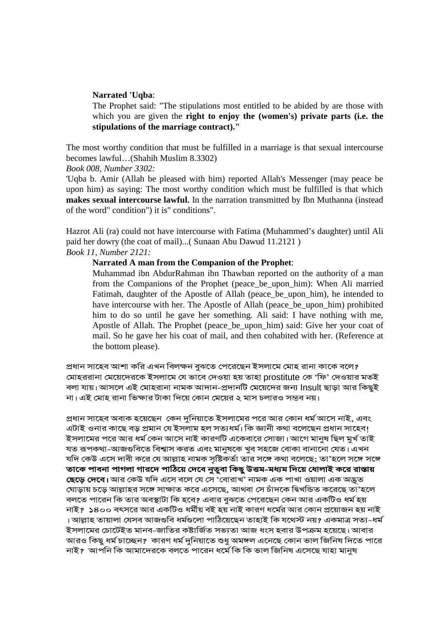#### **Narrated 'Uqba**:

The Prophet said: "The stipulations most entitled to be abided by are those with which you are given the **right to enjoy the (women's) private parts (i.e. the stipulations of the marriage contract)."** 

The most worthy condition that must be fulfilled in a marriage is that sexual intercourse becomes lawful…(Shahih Muslim 8.3302)

*Book 008, Number 3302:* 

'Uqba b. Amir (Allah be pleased with him) reported Allah's Messenger (may peace be upon him) as saying: The most worthy condition which must be fulfilled is that which **makes sexual intercourse lawful.** In the narration transmitted by Ibn Muthanna (instead of the word" condition") it is" conditions".

Hazrot Ali (ra) could not have intercourse with Fatima (Muhammed's daughter) until Ali paid her dowry (the coat of mail)...( Sunaan Abu Dawud 11.2121 ) *Book 11, Number 2121:* 

#### **Narrated A man from the Companion of the Prophet**:

Muhammad ibn AbdurRahman ibn Thawban reported on the authority of a man from the Companions of the Prophet (peace\_be\_upon\_him): When Ali married Fatimah, daughter of the Apostle of Allah (peace\_be\_upon\_him), he intended to have intercourse with her. The Apostle of Allah (peace\_be\_upon\_him) prohibited him to do so until he gave her something. Ali said: I have nothing with me, Apostle of Allah. The Prophet (peace\_be\_upon\_him) said: Give her your coat of mail. So he gave her his coat of mail, and then cohabited with her. (Reference at the bottom please).

প্ৰধান সাহেব আশা করি এখন বিলক্ষন বুঝতে পেরেছেন ইসলামে মোহ রানা কাকে বলে? মোহররানা মেয়েদেরকে ইসলামে যে ভাবে দেওয়া হয় তাহা prostitute কে 'ফি' দেওয়ার মতই বলা যায়। আসলে এই মোহরানা নামক আদান-প্রদানটি মেয়েদের জন্য Insult ছাড়া আর কিছুই না। এই মোহ রানা ভিক্ষার টাকা দিয়ে কোন মেয়ের ২ মাস চলারও সম্ভব নয়।

প্রধান সাহেব অবাক হয়েছেন কেন দুনিয়াতে ইসলামের পরে আর কোন ধর্ম আসে নাই, এবং এটাই ওনার কাছে বড় প্রমান যে ইসলাম হল সত্যধর্ম। কি জ্ঞানী কথা বলেছেন প্রধান সাহেব! ইসলামের পরে আর ধর্ম কেন আসে নাই কারণটি একেবারে সোজা। আগে মানষ ছিল মর্খ তাই যত রূপকথা-আজগুবিতে বিশ্বাস করত এবং মানষকে খব সহজে বোকা বানানো যেত। এখন যদি কেউ এসে দাবী করে যে আল্লাহ নামক সৃষ্টিকর্তা তার সঙ্গে কথা বলেছে: তা'হলে সঙ্গে সঙ্গে তাকে পাবনা পাগলা গারদে পাঠিয়ে দেবে নৃত্ত্বা কিছু উত্তম-মধ্যম দিয়ে ধোলাই করে রাস্তায় **ছেড়ে দেবে**। আর কেউ যদি এসে বলে যে সে 'বোরাখ' নামক এক পাখা ওয়ালা এক অদ্ভূত ঘোডায় চডে আল্লাহর সঙ্গে সাক্ষাত করে এসেছে, আথবা সে চাঁদকে দ্বিখন্ডিত করেছে তা'হলে। বলতে পারেন কি তার অবস্থাটা কি হবে? এবার বুঝতে পেরেছেন কেন আর একটিও ধর্ম হয় নাই? ১৪০০ বৎসরে আর একটিও ধর্মীয় বই হয় নাই কারণ ধর্মের আর কোন প্রয়োজন হয় নাই । আল্লাহ তায়ালা যেসব আজগুবি ধৰ্মগুলো পাঠিয়েছেন তাহাই কি যথেস্ট নয়? একমাত্ৰ সত্য–ধৰ্ম ইসলামের চোটেইত মানব–জাতির কষ্টার্জিত সভ্যতা আজ ধংস হবার উপক্রম হয়েছে। আবার আরও কিছু ধর্ম চাচ্ছেন? কারণ ধর্ম দুনিয়াতে শুধু অমঙ্গল এনেছে কোন ভাল জিনিষ দিতে পারে নাই? আপনি কি আমাদেরকে বলতে পারেন ধর্মে কি কি ভাল জিনিষ এসেছে যাহা মানুষ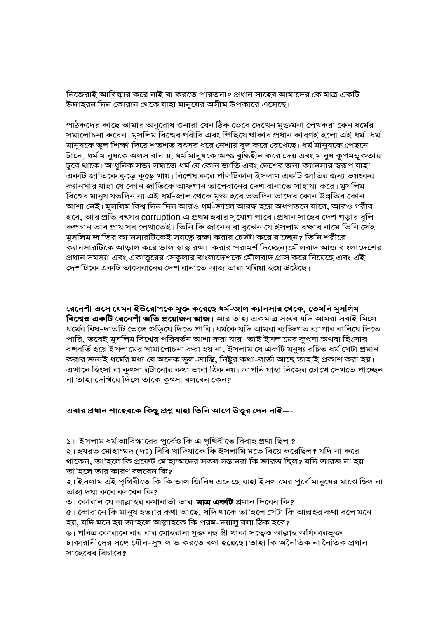নিজেরাই আবিস্কার করে নাই বা করতে পারতনা? প্রধান সাহেব আমাদের কে মাত্র একটি উদাহরন দিন কোরান থেকে যাহা মানুষের অসীম উপকারে এসেছে।

পাঠকদের কাছে আমার অনুরোধ ওনারা যেন ঠিক ভেবে দেখেন মুক্তমনা লেখকরা কেন ধর্মের সমালোচনা করেন। মুসলিম বিশ্বের গরীবি এবং পিছিয়ে থাকার প্রধান কারণই হলো এই ধর্ম। ধর্ম মানুষকে ভুল শিক্ষা দিয়ে শতশত বৎসর ধরে নেশায় বুদ করে রেখেছে। ধর্ম মানুষকে পেছনে টানে, ধৰ্ম মানুষকে অলস বানায়, ধৰ্ম মানুষকে অন্দ্ধ বুদ্ধিহীন করে দেয় এবং মানুষ কুপমন্ডূকতায় ঢুবে থাকে। আধুনিক সভ্য সমাজে ধর্ম যে কোন জাতি এবং দেশের জন্য ক্যানসার স্বরূপ যাহা একটি জাতিকে কুড়ে কুড়ে খায়। বিশেষ করে পলিটিকাল ইসলাম একটি জাতির জন্য ভয়ংকর ক্যানসার যাহা যে কোন জাতিকে আফগান তালেবানের দেশ বানাতে সাহায্য করে। মুসলিম বিশ্বের মানুষ যতদিন না এই ধর্ম-জাল থেকে মুক্ত হবে ততদিন তাদের কোন উন্নতির কোন আশা নেই। মুসলিম বিশ্ব দিন দিন আরও ধর্ম-জালে আবদ্ধ হয়ে অধপতনে যাবে, আরও গরীব হবে, আর প্রতি বৎসর corruption এ প্রথম হবার সুযোগ পাবে। প্রধান সাহেব দেশ গড়ার বুলি কপচান তার প্রায় সব লেখাতেই। তিনি কি জানেন বা বুঝেন যে ইসলাম রক্ষার নামে তিনি সেই মুসলিম জাতির ক্যানসারটিকেই সযত্নে রক্ষা করার চেস্টা করে যাচ্ছেন? তিনি শরীরে ক্যানসারটিকে আড়াল করে ভাল স্বাস্থ রক্ষা করার পরামর্শ দিচ্ছেন!মৌলবাদ আজ বাংলাদেশের প্রধান সমস্যা এবং একাত্তুরের সেকুলার বাংলাদেশকে মৌলবাদ গ্রাস করে নিয়েছে এবং এই দেশটিকে একটি তালেবানের দেশ বানাতে আজ তারা মরিয়া হয়ে উঠেছে।

রেনেশাঁ এসে যেমন ইউরোপকে মুক্ত করেছে ধর্ম-জাল ক্যানসার থেকে, তেমনি মুসলিম বিশ্বেও একটি রেনেশাঁ অতি প্রয়োজন আজ। আর তাহা একমাত্র সম্ভব যদি আমরা সবাই মিলে ধর্মের বিষ-দাতটি ভেঙ্গে গুড়িয়ে দিতে পারি। ধর্মকে যদি আমরা ব্যক্তিগত ব্যাপার বানিয়ে দিতে পারি, তবেই মুসলিম বিশ্বের পরিবর্তন আশা করা যায়। তাই ইসলামের কুৎসা অথবা হিংসার বশবর্তি হয়ে ইসলামের সামালোচনা করা হয় না, ইসলাম যে একটি মনুষ্য রচিত ধর্ম সেটা প্রমান করার জন্যই ধর্মের মধ্য যে অনেক ভুল-ভ্রান্তি, নিষ্টুর কথা-বার্তা আছে তাহাই প্রকাশ করা হয়। এখানে হিংসা বা কুৎসা রটানোর কথা ভাবা ঠিক নয়। আপনি যাহা নিজের চোখে দেখতে পাচ্ছেন। না তাহা দেখিয়ে দিলে তাকে কুৎসা বলবেন কেন?

#### <u>এবার প্রধান শাহেবকে কিছু প্রশ্ন যাহা তিনি আগে উত্তুর দেন নাই—- [</u>

১। ইসলাম ধর্ম আবিস্কারের পুর্বেও কি এ পৃথিবীতে বিবাহ প্রথা ছিল ?

২। হযরত মোহাম্মদ (দঃ) বিবি খাদিযাকে কি ইসলামি মতে বিয়ে করেছিল? যদি না করে থাকেন, তা'হলে কি প্রফেট মোহাম্মদের সকল সন্তানরা কি জারজ ছিল? যদি জারজ না হয় তা'হলে তার কারণ বলবেন কি?

২। ইসলাম এই পৃথিবীতে কি কি ভাল জিনিষ এনেছে যাহা ইসলামের পুর্বে মানুষের মাঝে ছিল না তাহা দয়া করে বলবেন কি?

৩। কোরান যে আল্লাহর কথাবার্তা তার **মাত্র একটি** প্রমান দিবেন কি?

৫। কোরানে কি মানুষ হত্যার কথা আছে, যদি থাকে তা'হলে সেটা কি আল্লহর কথা বলে মনে হয়, যদি মনে হয় তা'হলে আল্লাহকে কি পরম-দয়ালু বলা ঠিক হবে?

৬। পবিত্র কোরানে বার বার মোহরানা যুক্ত বহু স্ত্রী থাকা সত্বেও আল্লাহ অধিকারভুক্ত চাকারানীদের সঙ্গে যৌন-সুখ লাভ করতে বলা হয়েছে। তাহা কি অনৈতিক না নৈতিক প্রধান সাহেবের বিচারে?